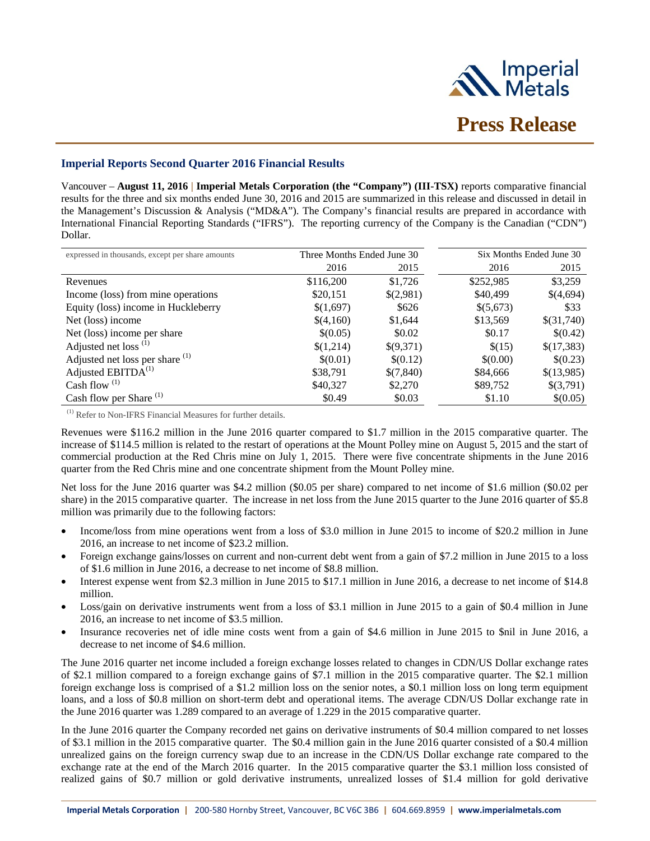

# **Imperial Reports Second Quarter 2016 Financial Results**

Vancouver – **August 11, 2016 | Imperial Metals Corporation (the "Company") (III-TSX)** reports comparative financial results for the three and six months ended June 30, 2016 and 2015 are summarized in this release and discussed in detail in the Management's Discussion & Analysis ("MD&A"). The Company's financial results are prepared in accordance with International Financial Reporting Standards ("IFRS"). The reporting currency of the Company is the Canadian ("CDN") Dollar.

| expressed in thousands, except per share amounts | Three Months Ended June 30 |           | Six Months Ended June 30 |            |
|--------------------------------------------------|----------------------------|-----------|--------------------------|------------|
|                                                  | 2016                       | 2015      | 2016                     | 2015       |
| Revenues                                         | \$116,200                  | \$1,726   | \$252,985                | \$3,259    |
| Income (loss) from mine operations               | \$20,151                   | \$(2,981) | \$40,499                 | \$(4,694)  |
| Equity (loss) income in Huckleberry              | \$(1,697)                  | \$626     | \$(5,673)                | \$33       |
| Net (loss) income                                | \$(4,160)                  | \$1,644   | \$13,569                 | \$(31,740) |
| Net (loss) income per share                      | \$(0.05)                   | \$0.02    | \$0.17                   | \$(0.42)   |
| Adjusted net loss <sup>(1)</sup>                 | \$(1,214)                  | \$(9,371) | \$(15)                   | \$(17,383) |
| Adjusted net loss per share <sup>(1)</sup>       | \$(0.01)                   | \$(0.12)  | \$(0.00)                 | \$(0.23)   |
| Adjusted EBITDA <sup>(1)</sup>                   | \$38,791                   | \$(7,840) | \$84,666                 | \$(13,985) |
| Cash flow $(1)$                                  | \$40,327                   | \$2,270   | \$89,752                 | \$(3,791)  |
| Cash flow per Share <sup>(1)</sup>               | \$0.49                     | \$0.03    | \$1.10                   | \$(0.05)   |

(1) Refer to Non-IFRS Financial Measures for further details.

Revenues were \$116.2 million in the June 2016 quarter compared to \$1.7 million in the 2015 comparative quarter. The increase of \$114.5 million is related to the restart of operations at the Mount Polley mine on August 5, 2015 and the start of commercial production at the Red Chris mine on July 1, 2015. There were five concentrate shipments in the June 2016 quarter from the Red Chris mine and one concentrate shipment from the Mount Polley mine.

Net loss for the June 2016 quarter was \$4.2 million (\$0.05 per share) compared to net income of \$1.6 million (\$0.02 per share) in the 2015 comparative quarter. The increase in net loss from the June 2015 quarter to the June 2016 quarter of \$5.8 million was primarily due to the following factors:

- Income/loss from mine operations went from a loss of \$3.0 million in June 2015 to income of \$20.2 million in June 2016, an increase to net income of \$23.2 million.
- Foreign exchange gains/losses on current and non-current debt went from a gain of \$7.2 million in June 2015 to a loss of \$1.6 million in June 2016, a decrease to net income of \$8.8 million.
- Interest expense went from \$2.3 million in June 2015 to \$17.1 million in June 2016, a decrease to net income of \$14.8 million.
- Loss/gain on derivative instruments went from a loss of \$3.1 million in June 2015 to a gain of \$0.4 million in June 2016, an increase to net income of \$3.5 million.
- Insurance recoveries net of idle mine costs went from a gain of \$4.6 million in June 2015 to \$nil in June 2016, a decrease to net income of \$4.6 million.

The June 2016 quarter net income included a foreign exchange losses related to changes in CDN/US Dollar exchange rates of \$2.1 million compared to a foreign exchange gains of \$7.1 million in the 2015 comparative quarter. The \$2.1 million foreign exchange loss is comprised of a \$1.2 million loss on the senior notes, a \$0.1 million loss on long term equipment loans, and a loss of \$0.8 million on short-term debt and operational items. The average CDN/US Dollar exchange rate in the June 2016 quarter was 1.289 compared to an average of 1.229 in the 2015 comparative quarter.

In the June 2016 quarter the Company recorded net gains on derivative instruments of \$0.4 million compared to net losses of \$3.1 million in the 2015 comparative quarter. The \$0.4 million gain in the June 2016 quarter consisted of a \$0.4 million unrealized gains on the foreign currency swap due to an increase in the CDN/US Dollar exchange rate compared to the exchange rate at the end of the March 2016 quarter. In the 2015 comparative quarter the \$3.1 million loss consisted of realized gains of \$0.7 million or gold derivative instruments, unrealized losses of \$1.4 million for gold derivative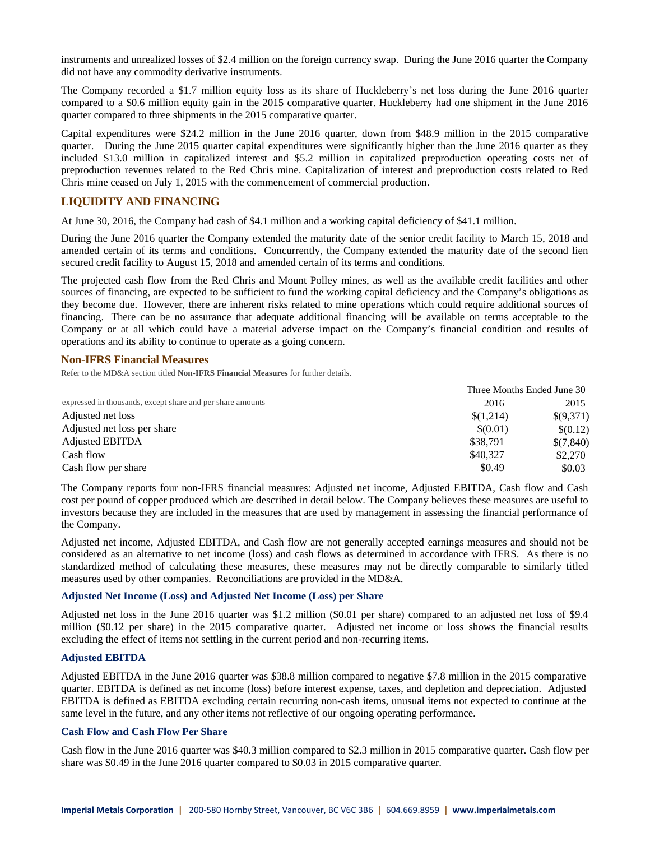instruments and unrealized losses of \$2.4 million on the foreign currency swap. During the June 2016 quarter the Company did not have any commodity derivative instruments.

The Company recorded a \$1.7 million equity loss as its share of Huckleberry's net loss during the June 2016 quarter compared to a \$0.6 million equity gain in the 2015 comparative quarter. Huckleberry had one shipment in the June 2016 quarter compared to three shipments in the 2015 comparative quarter.

Capital expenditures were \$24.2 million in the June 2016 quarter, down from \$48.9 million in the 2015 comparative quarter. During the June 2015 quarter capital expenditures were significantly higher than the June 2016 quarter as they included \$13.0 million in capitalized interest and \$5.2 million in capitalized preproduction operating costs net of preproduction revenues related to the Red Chris mine. Capitalization of interest and preproduction costs related to Red Chris mine ceased on July 1, 2015 with the commencement of commercial production.

# **LIQUIDITY AND FINANCING**

At June 30, 2016, the Company had cash of \$4.1 million and a working capital deficiency of \$41.1 million.

During the June 2016 quarter the Company extended the maturity date of the senior credit facility to March 15, 2018 and amended certain of its terms and conditions. Concurrently, the Company extended the maturity date of the second lien secured credit facility to August 15, 2018 and amended certain of its terms and conditions.

The projected cash flow from the Red Chris and Mount Polley mines, as well as the available credit facilities and other sources of financing, are expected to be sufficient to fund the working capital deficiency and the Company's obligations as they become due. However, there are inherent risks related to mine operations which could require additional sources of financing. There can be no assurance that adequate additional financing will be available on terms acceptable to the Company or at all which could have a material adverse impact on the Company's financial condition and results of operations and its ability to continue to operate as a going concern.

# **Non-IFRS Financial Measures**

Refer to the MD&A section titled **Non-IFRS Financial Measures** for further details.

|                                                            | Three Months Ended June 30 |           |  |
|------------------------------------------------------------|----------------------------|-----------|--|
| expressed in thousands, except share and per share amounts | 2016                       | 2015      |  |
| Adjusted net loss                                          | \$(1,214)                  | \$(9,371) |  |
| Adjusted net loss per share                                | \$(0.01)                   | \$(0.12)  |  |
| Adjusted EBITDA                                            | \$38,791                   | \$(7,840) |  |
| Cash flow                                                  | \$40,327                   | \$2,270   |  |
| Cash flow per share                                        | \$0.49                     | \$0.03    |  |

The Company reports four non-IFRS financial measures: Adjusted net income, Adjusted EBITDA, Cash flow and Cash cost per pound of copper produced which are described in detail below. The Company believes these measures are useful to investors because they are included in the measures that are used by management in assessing the financial performance of the Company.

Adjusted net income, Adjusted EBITDA, and Cash flow are not generally accepted earnings measures and should not be considered as an alternative to net income (loss) and cash flows as determined in accordance with IFRS. As there is no standardized method of calculating these measures, these measures may not be directly comparable to similarly titled measures used by other companies. Reconciliations are provided in the MD&A.

# **Adjusted Net Income (Loss) and Adjusted Net Income (Loss) per Share**

Adjusted net loss in the June 2016 quarter was \$1.2 million (\$0.01 per share) compared to an adjusted net loss of \$9.4 million (\$0.12 per share) in the 2015 comparative quarter. Adjusted net income or loss shows the financial results excluding the effect of items not settling in the current period and non-recurring items.

# **Adjusted EBITDA**

Adjusted EBITDA in the June 2016 quarter was \$38.8 million compared to negative \$7.8 million in the 2015 comparative quarter. EBITDA is defined as net income (loss) before interest expense, taxes, and depletion and depreciation. Adjusted EBITDA is defined as EBITDA excluding certain recurring non-cash items, unusual items not expected to continue at the same level in the future, and any other items not reflective of our ongoing operating performance.

### **Cash Flow and Cash Flow Per Share**

Cash flow in the June 2016 quarter was \$40.3 million compared to \$2.3 million in 2015 comparative quarter. Cash flow per share was \$0.49 in the June 2016 quarter compared to \$0.03 in 2015 comparative quarter.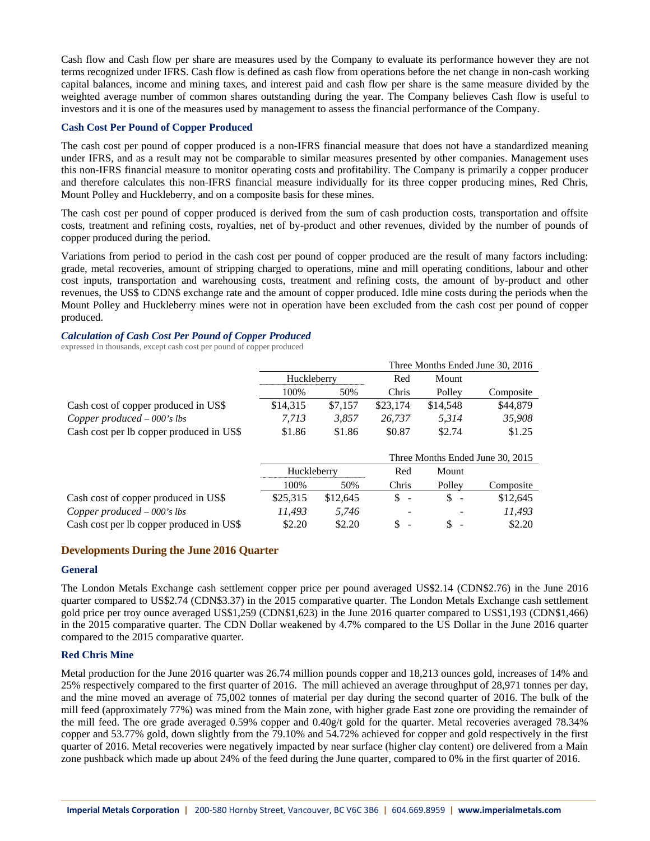Cash flow and Cash flow per share are measures used by the Company to evaluate its performance however they are not terms recognized under IFRS. Cash flow is defined as cash flow from operations before the net change in non-cash working capital balances, income and mining taxes, and interest paid and cash flow per share is the same measure divided by the weighted average number of common shares outstanding during the year. The Company believes Cash flow is useful to investors and it is one of the measures used by management to assess the financial performance of the Company.

### **Cash Cost Per Pound of Copper Produced**

The cash cost per pound of copper produced is a non-IFRS financial measure that does not have a standardized meaning under IFRS, and as a result may not be comparable to similar measures presented by other companies. Management uses this non-IFRS financial measure to monitor operating costs and profitability. The Company is primarily a copper producer and therefore calculates this non-IFRS financial measure individually for its three copper producing mines, Red Chris, Mount Polley and Huckleberry, and on a composite basis for these mines.

The cash cost per pound of copper produced is derived from the sum of cash production costs, transportation and offsite costs, treatment and refining costs, royalties, net of by-product and other revenues, divided by the number of pounds of copper produced during the period.

Variations from period to period in the cash cost per pound of copper produced are the result of many factors including: grade, metal recoveries, amount of stripping charged to operations, mine and mill operating conditions, labour and other cost inputs, transportation and warehousing costs, treatment and refining costs, the amount of by-product and other revenues, the US\$ to CDN\$ exchange rate and the amount of copper produced. Idle mine costs during the periods when the Mount Polley and Huckleberry mines were not in operation have been excluded from the cash cost per pound of copper produced.

#### *Calculation of Cash Cost Per Pound of Copper Produced*

expressed in thousands, except cash cost per pound of copper produced

|                                          | Three Months Ended June 30, 2016 |          |                      |                                |                                  |
|------------------------------------------|----------------------------------|----------|----------------------|--------------------------------|----------------------------------|
|                                          | Huckleberry                      |          | Red                  | Mount                          |                                  |
|                                          | 100%                             | 50%      | Chris                | Polley                         | Composite                        |
| Cash cost of copper produced in US\$     | \$14,315                         | \$7,157  | \$23,174             | \$14,548                       | \$44,879                         |
| Copper produced $-000$ 's lbs            | 7.713                            | 3.857    | 26.737               | 5.314                          | 35,908                           |
| Cash cost per lb copper produced in US\$ | \$1.86                           | \$1.86   | \$0.87               | \$2.74                         | \$1.25                           |
|                                          |                                  |          |                      |                                |                                  |
|                                          |                                  |          |                      |                                |                                  |
|                                          |                                  |          |                      |                                | Three Months Ended June 30, 2015 |
|                                          | Huckleberry                      |          | Red                  | Mount                          |                                  |
|                                          | 100%                             | 50%      | Chris                | Polley                         | Composite                        |
| Cash cost of copper produced in US\$     | \$25,315                         | \$12,645 | \$<br>$\blacksquare$ | \$<br>$\overline{\phantom{a}}$ | \$12,645                         |
| Copper produced $-000$ 's lbs            | 11.493                           | 5.746    | -                    |                                | 11.493                           |

# **Developments During the June 2016 Quarter**

### **General**

The London Metals Exchange cash settlement copper price per pound averaged US\$2.14 (CDN\$2.76) in the June 2016 quarter compared to US\$2.74 (CDN\$3.37) in the 2015 comparative quarter. The London Metals Exchange cash settlement gold price per troy ounce averaged US\$1,259 (CDN\$1,623) in the June 2016 quarter compared to US\$1,193 (CDN\$1,466) in the 2015 comparative quarter. The CDN Dollar weakened by 4.7% compared to the US Dollar in the June 2016 quarter compared to the 2015 comparative quarter.

# **Red Chris Mine**

Metal production for the June 2016 quarter was 26.74 million pounds copper and 18,213 ounces gold, increases of 14% and 25% respectively compared to the first quarter of 2016. The mill achieved an average throughput of 28,971 tonnes per day, and the mine moved an average of 75,002 tonnes of material per day during the second quarter of 2016. The bulk of the mill feed (approximately 77%) was mined from the Main zone, with higher grade East zone ore providing the remainder of the mill feed. The ore grade averaged 0.59% copper and 0.40g/t gold for the quarter. Metal recoveries averaged 78.34% copper and 53.77% gold, down slightly from the 79.10% and 54.72% achieved for copper and gold respectively in the first quarter of 2016. Metal recoveries were negatively impacted by near surface (higher clay content) ore delivered from a Main zone pushback which made up about 24% of the feed during the June quarter, compared to 0% in the first quarter of 2016.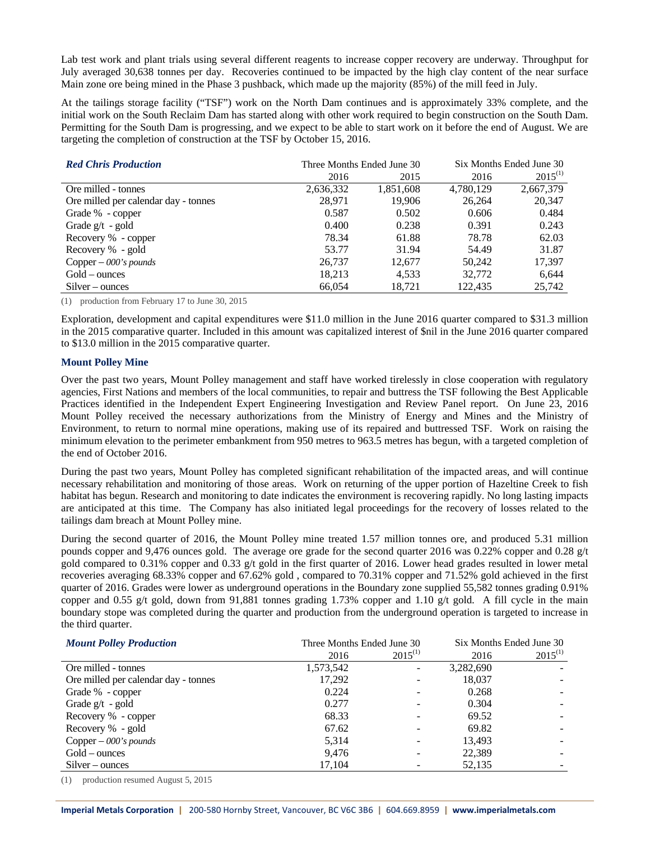Lab test work and plant trials using several different reagents to increase copper recovery are underway. Throughput for July averaged 30,638 tonnes per day. Recoveries continued to be impacted by the high clay content of the near surface Main zone ore being mined in the Phase 3 pushback, which made up the majority (85%) of the mill feed in July.

At the tailings storage facility ("TSF") work on the North Dam continues and is approximately 33% complete, and the initial work on the South Reclaim Dam has started along with other work required to begin construction on the South Dam. Permitting for the South Dam is progressing, and we expect to be able to start work on it before the end of August. We are targeting the completion of construction at the TSF by October 15, 2016.

| <b>Red Chris Production</b>          |           | Three Months Ended June 30 | Six Months Ended June 30 |              |  |
|--------------------------------------|-----------|----------------------------|--------------------------|--------------|--|
|                                      | 2016      | 2015                       | 2016                     | $2015^{(1)}$ |  |
| Ore milled - tonnes                  | 2,636,332 | 1,851,608                  | 4,780,129                | 2,667,379    |  |
| Ore milled per calendar day - tonnes | 28.971    | 19.906                     | 26,264                   | 20.347       |  |
| Grade % - copper                     | 0.587     | 0.502                      | 0.606                    | 0.484        |  |
| Grade $g/t - gold$                   | 0.400     | 0.238                      | 0.391                    | 0.243        |  |
| Recovery % - copper                  | 78.34     | 61.88                      | 78.78                    | 62.03        |  |
| Recovery % - gold                    | 53.77     | 31.94                      | 54.49                    | 31.87        |  |
| Copper $-$ 000's pounds              | 26,737    | 12,677                     | 50.242                   | 17,397       |  |
| $Gold-$ ounces                       | 18,213    | 4.533                      | 32,772                   | 6.644        |  |
| $Silver-ounces$                      | 66,054    | 18,721                     | 122,435                  | 25,742       |  |

(1) production from February 17 to June 30, 2015

Exploration, development and capital expenditures were \$11.0 million in the June 2016 quarter compared to \$31.3 million in the 2015 comparative quarter. Included in this amount was capitalized interest of \$nil in the June 2016 quarter compared to \$13.0 million in the 2015 comparative quarter.

## **Mount Polley Mine**

Over the past two years, Mount Polley management and staff have worked tirelessly in close cooperation with regulatory agencies, First Nations and members of the local communities, to repair and buttress the TSF following the Best Applicable Practices identified in the Independent Expert Engineering Investigation and Review Panel report. On June 23, 2016 Mount Polley received the necessary authorizations from the Ministry of Energy and Mines and the Ministry of Environment, to return to normal mine operations, making use of its repaired and buttressed TSF. Work on raising the minimum elevation to the perimeter embankment from 950 metres to 963.5 metres has begun, with a targeted completion of the end of October 2016.

During the past two years, Mount Polley has completed significant rehabilitation of the impacted areas, and will continue necessary rehabilitation and monitoring of those areas. Work on returning of the upper portion of Hazeltine Creek to fish habitat has begun. Research and monitoring to date indicates the environment is recovering rapidly. No long lasting impacts are anticipated at this time. The Company has also initiated legal proceedings for the recovery of losses related to the tailings dam breach at Mount Polley mine.

During the second quarter of 2016, the Mount Polley mine treated 1.57 million tonnes ore, and produced 5.31 million pounds copper and 9,476 ounces gold. The average ore grade for the second quarter 2016 was 0.22% copper and 0.28 g/t gold compared to 0.31% copper and 0.33 g/t gold in the first quarter of 2016. Lower head grades resulted in lower metal recoveries averaging 68.33% copper and 67.62% gold , compared to 70.31% copper and 71.52% gold achieved in the first quarter of 2016. Grades were lower as underground operations in the Boundary zone supplied 55,582 tonnes grading 0.91% copper and 0.55 g/t gold, down from 91,881 tonnes grading 1.73% copper and 1.10 g/t gold. A fill cycle in the main boundary stope was completed during the quarter and production from the underground operation is targeted to increase in the third quarter.

| <b>Mount Polley Production</b>       | Three Months Ended June 30 | Six Months Ended June 30 |           |              |
|--------------------------------------|----------------------------|--------------------------|-----------|--------------|
|                                      | 2016                       | $2015^{(1)}$             | 2016      | $2015^{(1)}$ |
| Ore milled - tonnes                  | 1,573,542                  | $\overline{\phantom{0}}$ | 3,282,690 |              |
| Ore milled per calendar day - tonnes | 17,292                     |                          | 18,037    |              |
| Grade % - copper                     | 0.224                      |                          | 0.268     |              |
| Grade $g/t - gold$                   | 0.277                      |                          | 0.304     |              |
| Recovery % - copper                  | 68.33                      |                          | 69.52     |              |
| Recovery % - gold                    | 67.62                      |                          | 69.82     |              |
| Copper $-$ 000's pounds              | 5,314                      |                          | 13.493    |              |
| $Gold-$ ounces                       | 9.476                      |                          | 22,389    |              |
| $Silver-ounces$                      | 17,104                     |                          | 52,135    |              |

(1) production resumed August 5, 2015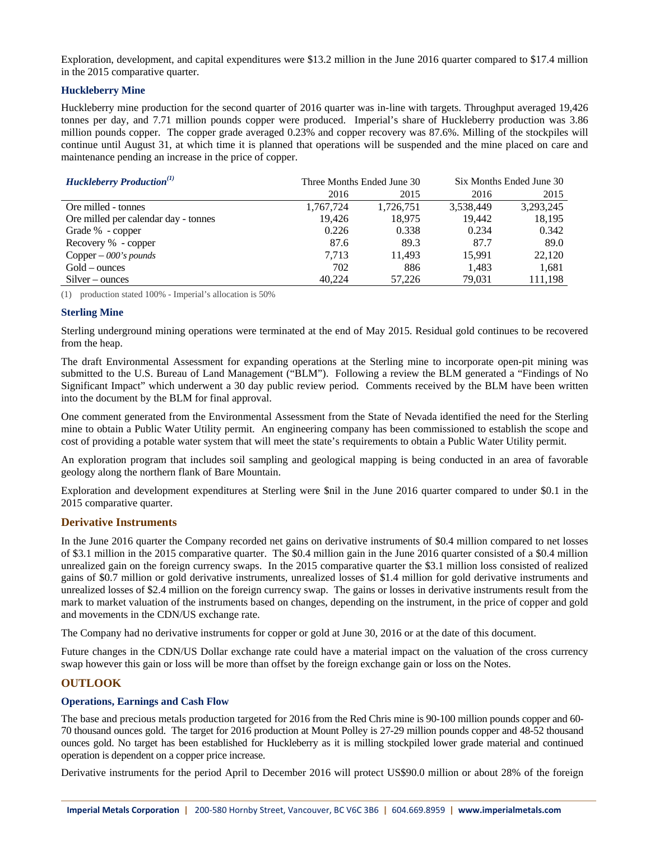Exploration, development, and capital expenditures were \$13.2 million in the June 2016 quarter compared to \$17.4 million in the 2015 comparative quarter.

## **Huckleberry Mine**

Huckleberry mine production for the second quarter of 2016 quarter was in-line with targets. Throughput averaged 19,426 tonnes per day, and 7.71 million pounds copper were produced. Imperial's share of Huckleberry production was 3.86 million pounds copper. The copper grade averaged 0.23% and copper recovery was 87.6%. Milling of the stockpiles will continue until August 31, at which time it is planned that operations will be suspended and the mine placed on care and maintenance pending an increase in the price of copper.

| <b>Huckleberry Production</b> <sup>(1)</sup> |           | Three Months Ended June 30 | Six Months Ended June 30 |           |
|----------------------------------------------|-----------|----------------------------|--------------------------|-----------|
|                                              | 2016      | 2015                       | 2016                     | 2015      |
| Ore milled - tonnes                          | 1,767,724 | 1,726,751                  | 3,538,449                | 3,293,245 |
| Ore milled per calendar day - tonnes         | 19.426    | 18,975                     | 19,442                   | 18,195    |
| Grade % - copper                             | 0.226     | 0.338                      | 0.234                    | 0.342     |
| Recovery % - copper                          | 87.6      | 89.3                       | 87.7                     | 89.0      |
| Copper $-$ 000's pounds                      | 7.713     | 11.493                     | 15.991                   | 22,120    |
| $Gold-$ ounces                               | 702       | 886                        | 1,483                    | 1,681     |
| $Silver-ounces$                              | 40.224    | 57,226                     | 79,031                   | 111,198   |

(1) production stated 100% - Imperial's allocation is 50%

## **Sterling Mine**

Sterling underground mining operations were terminated at the end of May 2015. Residual gold continues to be recovered from the heap.

The draft Environmental Assessment for expanding operations at the Sterling mine to incorporate open-pit mining was submitted to the U.S. Bureau of Land Management ("BLM"). Following a review the BLM generated a "Findings of No Significant Impact" which underwent a 30 day public review period. Comments received by the BLM have been written into the document by the BLM for final approval.

One comment generated from the Environmental Assessment from the State of Nevada identified the need for the Sterling mine to obtain a Public Water Utility permit. An engineering company has been commissioned to establish the scope and cost of providing a potable water system that will meet the state's requirements to obtain a Public Water Utility permit.

An exploration program that includes soil sampling and geological mapping is being conducted in an area of favorable geology along the northern flank of Bare Mountain.

Exploration and development expenditures at Sterling were \$nil in the June 2016 quarter compared to under \$0.1 in the 2015 comparative quarter.

### **Derivative Instruments**

In the June 2016 quarter the Company recorded net gains on derivative instruments of \$0.4 million compared to net losses of \$3.1 million in the 2015 comparative quarter. The \$0.4 million gain in the June 2016 quarter consisted of a \$0.4 million unrealized gain on the foreign currency swaps. In the 2015 comparative quarter the \$3.1 million loss consisted of realized gains of \$0.7 million or gold derivative instruments, unrealized losses of \$1.4 million for gold derivative instruments and unrealized losses of \$2.4 million on the foreign currency swap. The gains or losses in derivative instruments result from the mark to market valuation of the instruments based on changes, depending on the instrument, in the price of copper and gold and movements in the CDN/US exchange rate.

The Company had no derivative instruments for copper or gold at June 30, 2016 or at the date of this document.

Future changes in the CDN/US Dollar exchange rate could have a material impact on the valuation of the cross currency swap however this gain or loss will be more than offset by the foreign exchange gain or loss on the Notes.

# **OUTLOOK**

# **Operations, Earnings and Cash Flow**

The base and precious metals production targeted for 2016 from the Red Chris mine is 90-100 million pounds copper and 60- 70 thousand ounces gold. The target for 2016 production at Mount Polley is 27-29 million pounds copper and 48-52 thousand ounces gold. No target has been established for Huckleberry as it is milling stockpiled lower grade material and continued operation is dependent on a copper price increase.

Derivative instruments for the period April to December 2016 will protect US\$90.0 million or about 28% of the foreign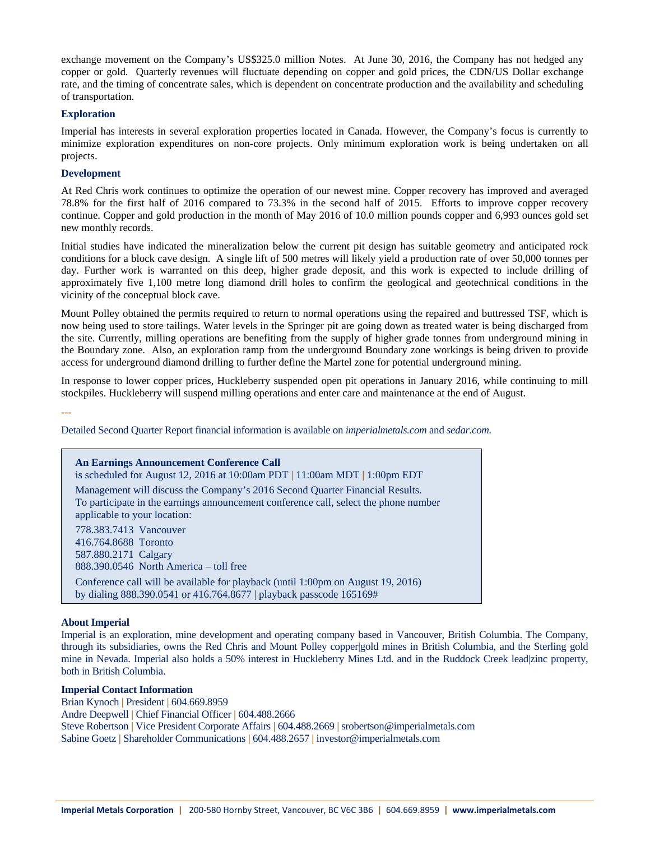exchange movement on the Company's US\$325.0 million Notes. At June 30, 2016, the Company has not hedged any copper or gold. Quarterly revenues will fluctuate depending on copper and gold prices, the CDN/US Dollar exchange rate, and the timing of concentrate sales, which is dependent on concentrate production and the availability and scheduling of transportation.

### **Exploration**

Imperial has interests in several exploration properties located in Canada. However, the Company's focus is currently to minimize exploration expenditures on non-core projects. Only minimum exploration work is being undertaken on all projects.

#### **Development**

At Red Chris work continues to optimize the operation of our newest mine. Copper recovery has improved and averaged 78.8% for the first half of 2016 compared to 73.3% in the second half of 2015. Efforts to improve copper recovery continue. Copper and gold production in the month of May 2016 of 10.0 million pounds copper and 6,993 ounces gold set new monthly records.

Initial studies have indicated the mineralization below the current pit design has suitable geometry and anticipated rock conditions for a block cave design. A single lift of 500 metres will likely yield a production rate of over 50,000 tonnes per day. Further work is warranted on this deep, higher grade deposit, and this work is expected to include drilling of approximately five 1,100 metre long diamond drill holes to confirm the geological and geotechnical conditions in the vicinity of the conceptual block cave.

Mount Polley obtained the permits required to return to normal operations using the repaired and buttressed TSF, which is now being used to store tailings. Water levels in the Springer pit are going down as treated water is being discharged from the site. Currently, milling operations are benefiting from the supply of higher grade tonnes from underground mining in the Boundary zone. Also, an exploration ramp from the underground Boundary zone workings is being driven to provide access for underground diamond drilling to further define the Martel zone for potential underground mining.

In response to lower copper prices, Huckleberry suspended open pit operations in January 2016, while continuing to mill stockpiles. Huckleberry will suspend milling operations and enter care and maintenance at the end of August.

**---**

Detailed Second Quarter Report financial information is available on *[imperialmetals.com](http://imperialmetals.com/)* and *sedar.com.*

# **An Earnings Announcement Conference Call**  is scheduled for August 12, 2016 at 10:00am PDT **|** 11:00am MDT **|** 1:00pm EDT Management will discuss the Company's 2016 Second Quarter Financial Results. To participate in the earnings announcement conference call, select the phone number applicable to your location: 778.383.7413 Vancouver 416.764.8688 Toronto 587.880.2171 Calgary 888.390.0546 North America – toll free Conference call will be available for playback (until 1:00pm on August 19, 2016) by dialing 888.390.0541 or 416.764.8677 | playback passcode 165169#

## **About Imperial**

Imperial is an exploration, mine development and operating company based in Vancouver, British Columbia. The Company, through its subsidiaries, owns the Red Chris and Mount Polley copper|gold mines in British Columbia, and the Sterling gold mine in Nevada. Imperial also holds a 50% interest in Huckleberry Mines Ltd. and in the Ruddock Creek lead|zinc property, both in British Columbia.

#### **Imperial Contact Information**

Brian Kynoch **|** President **|** 604.669.8959 Andre Deepwell **|** Chief Financial Officer **|** 604.488.2666 Steve Robertson **|** Vice President Corporate Affairs **|** 604.488.2669 **|** srobertson@imperialmetals.com Sabine Goetz **|** Shareholder Communications **|** 604.488.2657 **|** investor@imperialmetals.com